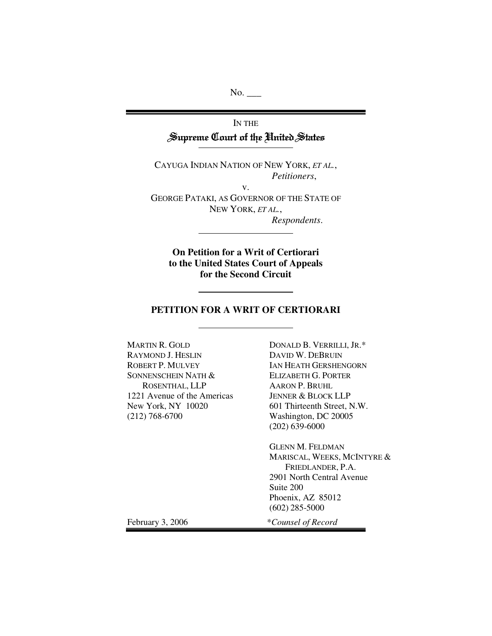No. \_\_\_\_

# IN THE Supreme Court of the United States

CAYUGA INDIAN NATION OF NEW YORK, *ET AL.*, *Petitioners*,

v. GEORGE PATAKI, AS GOVERNOR OF THE STATE OF NEW YORK, *ET AL.*, *Respondents*.

**On Petition for a Writ of Certiorari to the United States Court of Appeals for the Second Circuit**

## **PETITION FOR A WRIT OF CERTIORARI**

MARTIN R. GOLD RAYMOND J. HESLIN ROBERT P. MULVEY SONNENSCHEIN NATH & ROSENTHAL, LLP 1221 Avenue of the Americas New York, NY 10020 (212) 768-6700

DONALD B. VERRILLI, JR.\* DAVID W. DEBRUIN IAN HEATH GERSHENGORN ELIZABETH G. PORTER AARON P. BRUHL JENNER & BLOCK LLP 601 Thirteenth Street, N.W. Washington, DC 20005 (202) 639-6000

GLENN M. FELDMAN MARISCAL, WEEKS, MCINTYRE & FRIEDLANDER, P.A. 2901 North Central Avenue Suite 200 Phoenix, AZ 85012 (602) 285-5000

February 3, 2006 \**Counsel of Record*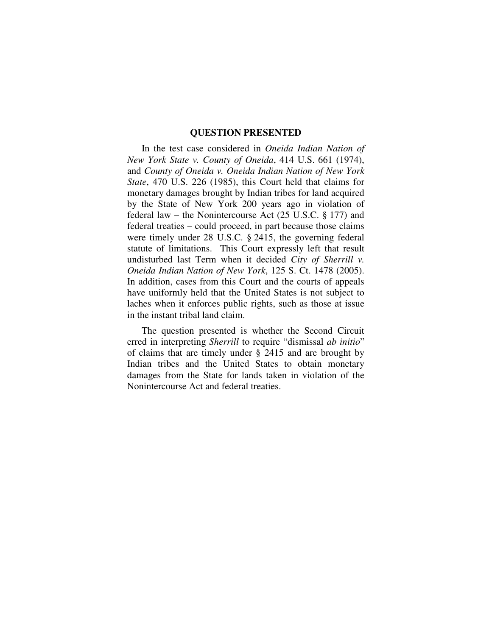#### **QUESTION PRESENTED**

In the test case considered in *Oneida Indian Nation of New York State v. County of Oneida*, 414 U.S. 661 (1974), and *County of Oneida v. Oneida Indian Nation of New York State*, 470 U.S. 226 (1985), this Court held that claims for monetary damages brought by Indian tribes for land acquired by the State of New York 200 years ago in violation of federal law – the Nonintercourse Act (25 U.S.C. § 177) and federal treaties – could proceed, in part because those claims were timely under 28 U.S.C. § 2415, the governing federal statute of limitations. This Court expressly left that result undisturbed last Term when it decided *City of Sherrill v. Oneida Indian Nation of New York*, 125 S. Ct. 1478 (2005). In addition, cases from this Court and the courts of appeals have uniformly held that the United States is not subject to laches when it enforces public rights, such as those at issue in the instant tribal land claim.

The question presented is whether the Second Circuit erred in interpreting *Sherrill* to require "dismissal *ab initio*" of claims that are timely under § 2415 and are brought by Indian tribes and the United States to obtain monetary damages from the State for lands taken in violation of the Nonintercourse Act and federal treaties.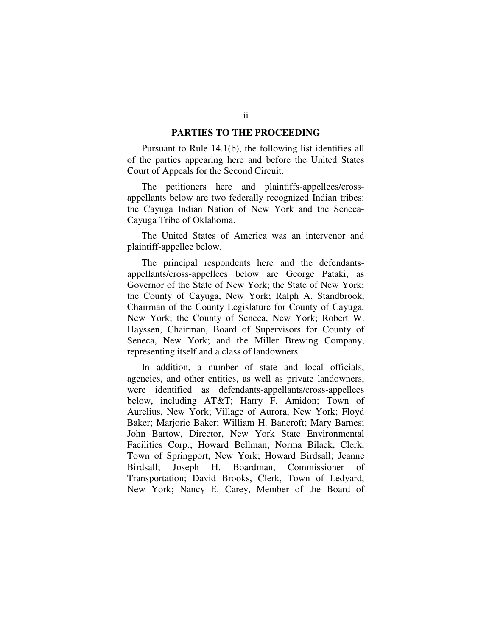## **PARTIES TO THE PROCEEDING**

Pursuant to Rule 14.1(b), the following list identifies all of the parties appearing here and before the United States Court of Appeals for the Second Circuit.

The petitioners here and plaintiffs-appellees/crossappellants below are two federally recognized Indian tribes: the Cayuga Indian Nation of New York and the Seneca-Cayuga Tribe of Oklahoma.

The United States of America was an intervenor and plaintiff-appellee below.

The principal respondents here and the defendantsappellants/cross-appellees below are George Pataki, as Governor of the State of New York; the State of New York; the County of Cayuga, New York; Ralph A. Standbrook, Chairman of the County Legislature for County of Cayuga, New York; the County of Seneca, New York; Robert W. Hayssen, Chairman, Board of Supervisors for County of Seneca, New York; and the Miller Brewing Company, representing itself and a class of landowners.

In addition, a number of state and local officials, agencies, and other entities, as well as private landowners, were identified as defendants-appellants/cross-appellees below, including AT&T; Harry F. Amidon; Town of Aurelius, New York; Village of Aurora, New York; Floyd Baker; Marjorie Baker; William H. Bancroft; Mary Barnes; John Bartow, Director, New York State Environmental Facilities Corp.; Howard Bellman; Norma Bilack, Clerk, Town of Springport, New York; Howard Birdsall; Jeanne Birdsall; Joseph H. Boardman, Commissioner of Transportation; David Brooks, Clerk, Town of Ledyard, New York; Nancy E. Carey, Member of the Board of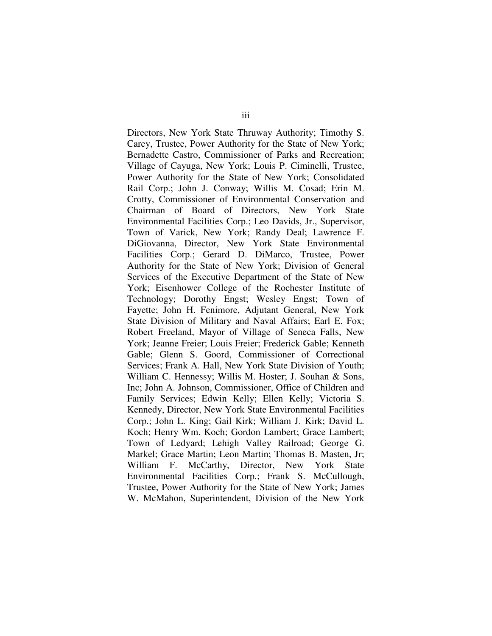Directors, New York State Thruway Authority; Timothy S. Carey, Trustee, Power Authority for the State of New York; Bernadette Castro, Commissioner of Parks and Recreation; Village of Cayuga, New York; Louis P. Ciminelli, Trustee, Power Authority for the State of New York; Consolidated Rail Corp.; John J. Conway; Willis M. Cosad; Erin M. Crotty, Commissioner of Environmental Conservation and Chairman of Board of Directors, New York State Environmental Facilities Corp.; Leo Davids, Jr., Supervisor, Town of Varick, New York; Randy Deal; Lawrence F. DiGiovanna, Director, New York State Environmental Facilities Corp.; Gerard D. DiMarco, Trustee, Power Authority for the State of New York; Division of General Services of the Executive Department of the State of New York; Eisenhower College of the Rochester Institute of Technology; Dorothy Engst; Wesley Engst; Town of Fayette; John H. Fenimore, Adjutant General, New York State Division of Military and Naval Affairs; Earl E. Fox; Robert Freeland, Mayor of Village of Seneca Falls, New York; Jeanne Freier; Louis Freier; Frederick Gable; Kenneth Gable; Glenn S. Goord, Commissioner of Correctional Services; Frank A. Hall, New York State Division of Youth; William C. Hennessy; Willis M. Hoster; J. Souhan & Sons, Inc; John A. Johnson, Commissioner, Office of Children and Family Services; Edwin Kelly; Ellen Kelly; Victoria S. Kennedy, Director, New York State Environmental Facilities Corp.; John L. King; Gail Kirk; William J. Kirk; David L. Koch; Henry Wm. Koch; Gordon Lambert; Grace Lambert; Town of Ledyard; Lehigh Valley Railroad; George G. Markel; Grace Martin; Leon Martin; Thomas B. Masten, Jr; William F. McCarthy, Director, New York State Environmental Facilities Corp.; Frank S. McCullough, Trustee, Power Authority for the State of New York; James W. McMahon, Superintendent, Division of the New York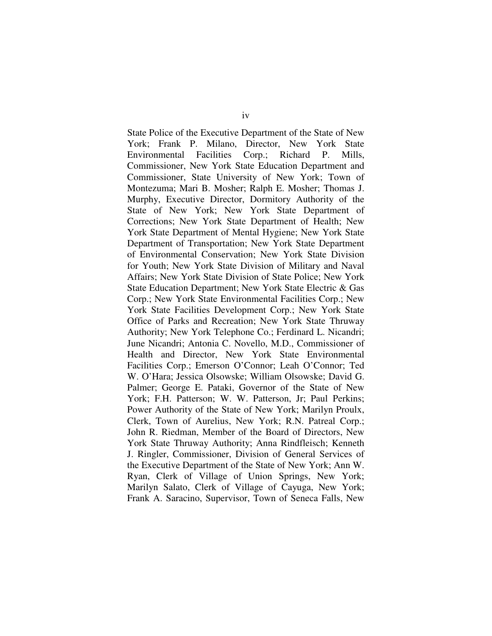State Police of the Executive Department of the State of New York; Frank P. Milano, Director, New York State Environmental Facilities Corp.; Richard P. Mills, Commissioner, New York State Education Department and Commissioner, State University of New York; Town of Montezuma; Mari B. Mosher; Ralph E. Mosher; Thomas J. Murphy, Executive Director, Dormitory Authority of the State of New York; New York State Department of Corrections; New York State Department of Health; New York State Department of Mental Hygiene; New York State Department of Transportation; New York State Department of Environmental Conservation; New York State Division for Youth; New York State Division of Military and Naval Affairs; New York State Division of State Police; New York State Education Department; New York State Electric & Gas Corp.; New York State Environmental Facilities Corp.; New York State Facilities Development Corp.; New York State Office of Parks and Recreation; New York State Thruway Authority; New York Telephone Co.; Ferdinard L. Nicandri; June Nicandri; Antonia C. Novello, M.D., Commissioner of Health and Director, New York State Environmental Facilities Corp.; Emerson O'Connor; Leah O'Connor; Ted W. O'Hara; Jessica Olsowske; William Olsowske; David G. Palmer; George E. Pataki, Governor of the State of New York; F.H. Patterson; W. W. Patterson, Jr; Paul Perkins; Power Authority of the State of New York; Marilyn Proulx, Clerk, Town of Aurelius, New York; R.N. Patreal Corp.; John R. Riedman, Member of the Board of Directors, New York State Thruway Authority; Anna Rindfleisch; Kenneth J. Ringler, Commissioner, Division of General Services of the Executive Department of the State of New York; Ann W. Ryan, Clerk of Village of Union Springs, New York; Marilyn Salato, Clerk of Village of Cayuga, New York; Frank A. Saracino, Supervisor, Town of Seneca Falls, New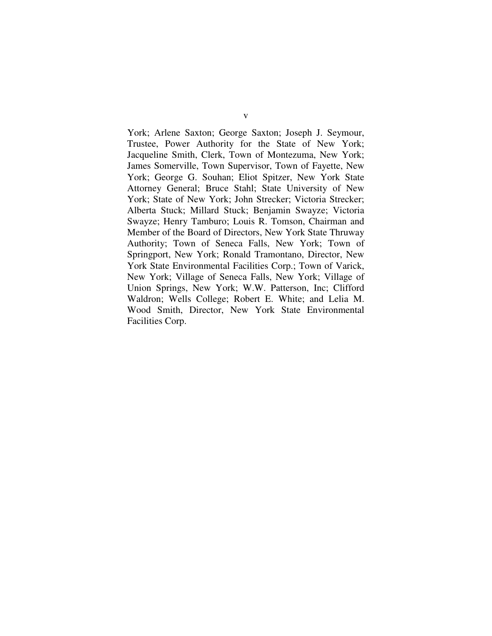York; Arlene Saxton; George Saxton; Joseph J. Seymour, Trustee, Power Authority for the State of New York; Jacqueline Smith, Clerk, Town of Montezuma, New York; James Somerville, Town Supervisor, Town of Fayette, New York; George G. Souhan; Eliot Spitzer, New York State Attorney General; Bruce Stahl; State University of New York; State of New York; John Strecker; Victoria Strecker; Alberta Stuck; Millard Stuck; Benjamin Swayze; Victoria Swayze; Henry Tamburo; Louis R. Tomson, Chairman and Member of the Board of Directors, New York State Thruway Authority; Town of Seneca Falls, New York; Town of Springport, New York; Ronald Tramontano, Director, New York State Environmental Facilities Corp.; Town of Varick, New York; Village of Seneca Falls, New York; Village of Union Springs, New York; W.W. Patterson, Inc; Clifford Waldron; Wells College; Robert E. White; and Lelia M. Wood Smith, Director, New York State Environmental Facilities Corp.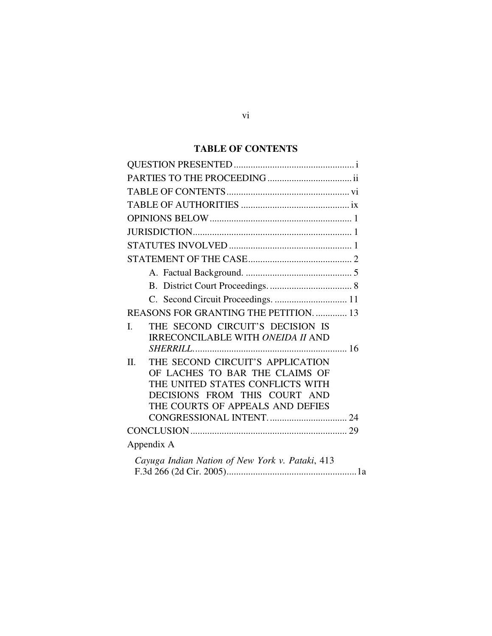# **TABLE OF CONTENTS**

| C. Second Circuit Proceedings.  11              |
|-------------------------------------------------|
| REASONS FOR GRANTING THE PETITION.  13          |
| THE SECOND CIRCUIT'S DECISION IS<br>I.          |
| <b>IRRECONCILABLE WITH ONEIDA II AND</b>        |
|                                                 |
| THE SECOND CIRCUIT'S APPLICATION<br>II.         |
| OF LACHES TO BAR THE CLAIMS OF                  |
| THE UNITED STATES CONFLICTS WITH                |
| DECISIONS FROM THIS COURT AND                   |
| THE COURTS OF APPEALS AND DEFIES                |
|                                                 |
|                                                 |
| Appendix A                                      |
| Cayuga Indian Nation of New York v. Pataki, 413 |
|                                                 |

# vi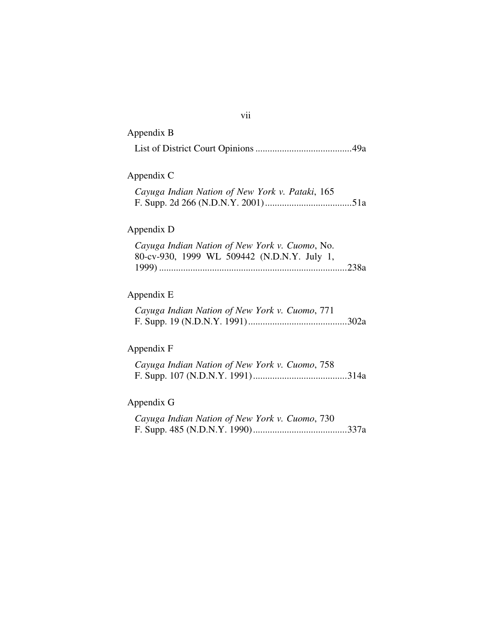| Appendix B                                                                                    |  |
|-----------------------------------------------------------------------------------------------|--|
|                                                                                               |  |
| Appendix C                                                                                    |  |
| Cayuga Indian Nation of New York v. Pataki, 165                                               |  |
| Appendix D                                                                                    |  |
| Cayuga Indian Nation of New York v. Cuomo, No.<br>80-cv-930, 1999 WL 509442 (N.D.N.Y. July 1, |  |
| Appendix E                                                                                    |  |
| Cayuga Indian Nation of New York v. Cuomo, 771                                                |  |
| Appendix F                                                                                    |  |
| Cayuga Indian Nation of New York v. Cuomo, 758                                                |  |
| Appendix G                                                                                    |  |
| Cayuga Indian Nation of New York v. Cuomo, 730                                                |  |
|                                                                                               |  |

vii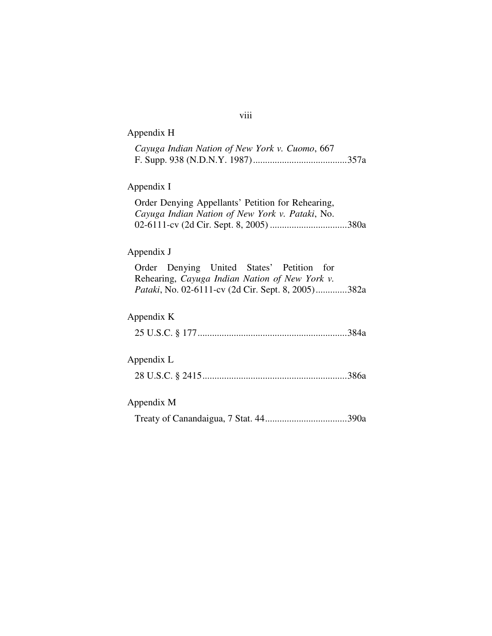| viii                                                                                                 |                                                    |
|------------------------------------------------------------------------------------------------------|----------------------------------------------------|
| Appendix H                                                                                           |                                                    |
| Cayuga Indian Nation of New York v. Cuomo, 667                                                       |                                                    |
| Appendix I                                                                                           |                                                    |
| Order Denying Appellants' Petition for Rehearing,<br>Cayuga Indian Nation of New York v. Pataki, No. |                                                    |
| Appendix J                                                                                           |                                                    |
| Denying United States' Petition for<br>Order<br>Rehearing, Cayuga Indian Nation of New York v.       |                                                    |
| Appendix K                                                                                           |                                                    |
|                                                                                                      |                                                    |
| Appendix L                                                                                           |                                                    |
|                                                                                                      |                                                    |
| Appendix M                                                                                           |                                                    |
|                                                                                                      |                                                    |
|                                                                                                      | Pataki, No. 02-6111-cv (2d Cir. Sept. 8, 2005)382a |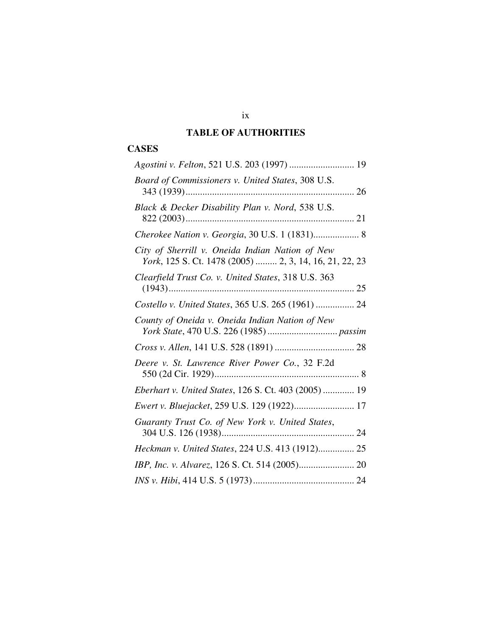# **TABLE OF AUTHORITIES**

# **CASES**

| Agostini v. Felton, 521 U.S. 203 (1997)  19                                                               |
|-----------------------------------------------------------------------------------------------------------|
| Board of Commissioners v. United States, 308 U.S.                                                         |
| Black & Decker Disability Plan v. Nord, 538 U.S.                                                          |
| Cherokee Nation v. Georgia, 30 U.S. 1 (1831) 8                                                            |
| City of Sherrill v. Oneida Indian Nation of New<br>York, 125 S. Ct. 1478 (2005)  2, 3, 14, 16, 21, 22, 23 |
| Clearfield Trust Co. v. United States, 318 U.S. 363                                                       |
| Costello v. United States, 365 U.S. 265 (1961)  24                                                        |
| County of Oneida v. Oneida Indian Nation of New                                                           |
|                                                                                                           |
| Deere v. St. Lawrence River Power Co., 32 F.2d                                                            |
| <i>Eberhart v. United States, 126 S. Ct. 403 (2005)  19</i>                                               |
| Ewert v. Bluejacket, 259 U.S. 129 (1922) 17                                                               |
| Guaranty Trust Co. of New York v. United States,                                                          |
| Heckman v. United States, 224 U.S. 413 (1912) 25                                                          |
|                                                                                                           |
|                                                                                                           |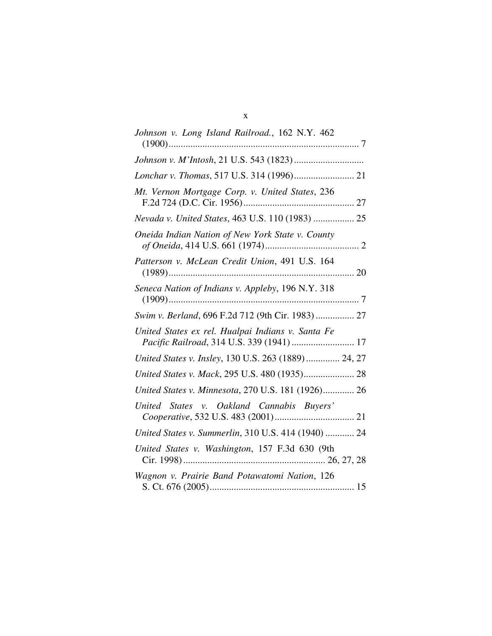| Johnson v. Long Island Railroad., 162 N.Y. 462                                                 |
|------------------------------------------------------------------------------------------------|
|                                                                                                |
| Lonchar v. Thomas, 517 U.S. 314 (1996) 21                                                      |
| Mt. Vernon Mortgage Corp. v. United States, 236                                                |
| Nevada v. United States, 463 U.S. 110 (1983)  25                                               |
| Oneida Indian Nation of New York State v. County                                               |
| Patterson v. McLean Credit Union, 491 U.S. 164                                                 |
| Seneca Nation of Indians v. Appleby, 196 N.Y. 318                                              |
| Swim v. Berland, 696 F.2d 712 (9th Cir. 1983)  27                                              |
| United States ex rel. Hualpai Indians v. Santa Fe<br>Pacific Railroad, 314 U.S. 339 (1941)  17 |
| United States v. Insley, 130 U.S. 263 (1889)  24, 27                                           |
| United States v. Mack, 295 U.S. 480 (1935) 28                                                  |
| United States v. Minnesota, 270 U.S. 181 (1926) 26                                             |
| United States v. Oakland Cannabis Buyers'                                                      |
| United States v. Summerlin, 310 U.S. 414 (1940)  24                                            |
| United States v. Washington, 157 F.3d 630 (9th                                                 |
| Wagnon v. Prairie Band Potawatomi Nation, 126                                                  |

## x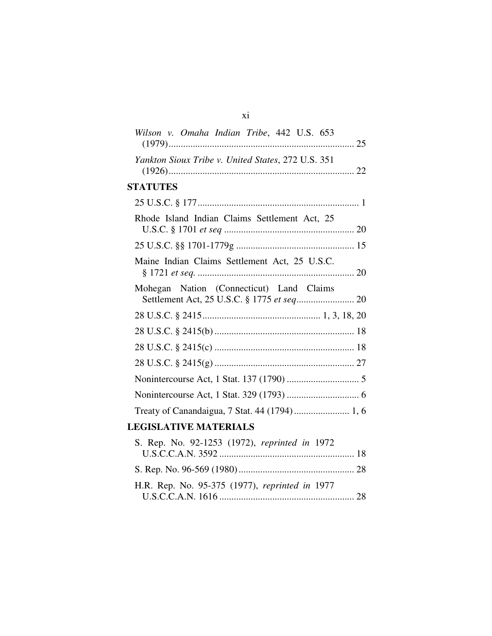| Wilson v. Omaha Indian Tribe, 442 U.S. 653         |
|----------------------------------------------------|
| Yankton Sioux Tribe v. United States, 272 U.S. 351 |
| <b>STATUTES</b>                                    |
|                                                    |
| Rhode Island Indian Claims Settlement Act, 25      |
|                                                    |
| Maine Indian Claims Settlement Act, 25 U.S.C.      |
| Mohegan Nation (Connecticut) Land Claims           |
|                                                    |
|                                                    |
|                                                    |
|                                                    |
|                                                    |
|                                                    |
| Treaty of Canandaigua, 7 Stat. 44 (1794)  1, 6     |
| <b>LEGISLATIVE MATERIALS</b>                       |
| S. Rep. No. 92-1253 (1972), reprinted in 1972      |
|                                                    |
| H.R. Rep. No. 95-375 (1977), reprinted in 1977     |

xi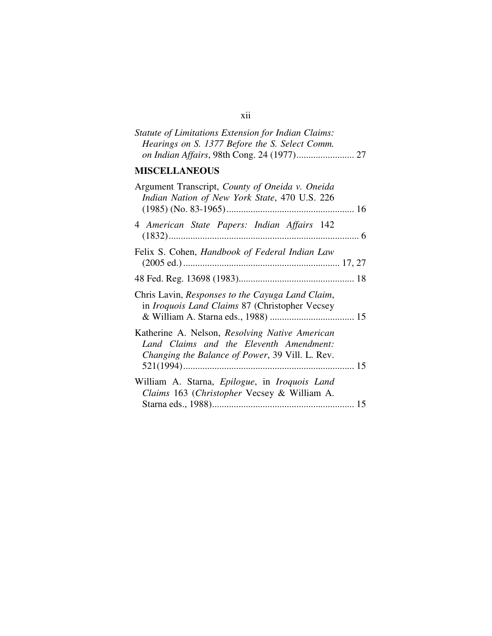# *Statute of Limitations Extension for Indian Claims: Hearings on S. 1377 Before the S. Select Comm. on Indian Affairs*, 98th Cong. 24 (1977)........................ 27

# **MISCELLANEOUS**

| Argument Transcript, County of Oneida v. Oneida<br>Indian Nation of New York State, 470 U.S. 226                                             |  |
|----------------------------------------------------------------------------------------------------------------------------------------------|--|
| 4 American State Papers: Indian Affairs 142                                                                                                  |  |
| Felix S. Cohen, Handbook of Federal Indian Law                                                                                               |  |
|                                                                                                                                              |  |
| Chris Lavin, Responses to the Cayuga Land Claim,<br>in <i>Iroquois Land Claims</i> 87 (Christopher Vecsey                                    |  |
| Katherine A. Nelson, Resolving Native American<br>Land Claims and the Eleventh Amendment:<br>Changing the Balance of Power, 39 Vill. L. Rev. |  |
| William A. Starna, <i>Epilogue</i> , in <i>Iroquois Land</i><br>Claims 163 (Christopher Vecsey & William A.                                  |  |

## xii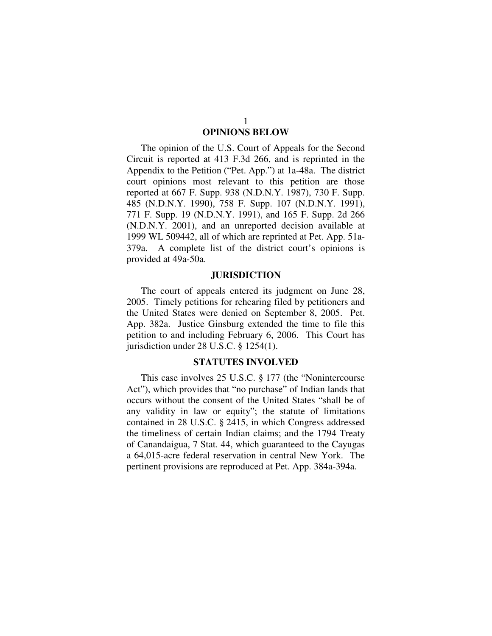# **OPINIONS BELOW**

The opinion of the U.S. Court of Appeals for the Second Circuit is reported at 413 F.3d 266, and is reprinted in the Appendix to the Petition ("Pet. App.") at 1a-48a. The district court opinions most relevant to this petition are those reported at 667 F. Supp. 938 (N.D.N.Y. 1987), 730 F. Supp. 485 (N.D.N.Y. 1990), 758 F. Supp. 107 (N.D.N.Y. 1991), 771 F. Supp. 19 (N.D.N.Y. 1991), and 165 F. Supp. 2d 266 (N.D.N.Y. 2001), and an unreported decision available at 1999 WL 509442, all of which are reprinted at Pet. App. 51a-379a. A complete list of the district court's opinions is provided at 49a-50a.

## **JURISDICTION**

The court of appeals entered its judgment on June 28, 2005. Timely petitions for rehearing filed by petitioners and the United States were denied on September 8, 2005. Pet. App. 382a. Justice Ginsburg extended the time to file this petition to and including February 6, 2006. This Court has jurisdiction under 28 U.S.C. § 1254(1).

## **STATUTES INVOLVED**

This case involves 25 U.S.C. § 177 (the "Nonintercourse Act"), which provides that "no purchase" of Indian lands that occurs without the consent of the United States "shall be of any validity in law or equity"; the statute of limitations contained in 28 U.S.C. § 2415, in which Congress addressed the timeliness of certain Indian claims; and the 1794 Treaty of Canandaigua, 7 Stat. 44, which guaranteed to the Cayugas a 64,015-acre federal reservation in central New York. The pertinent provisions are reproduced at Pet. App. 384a-394a.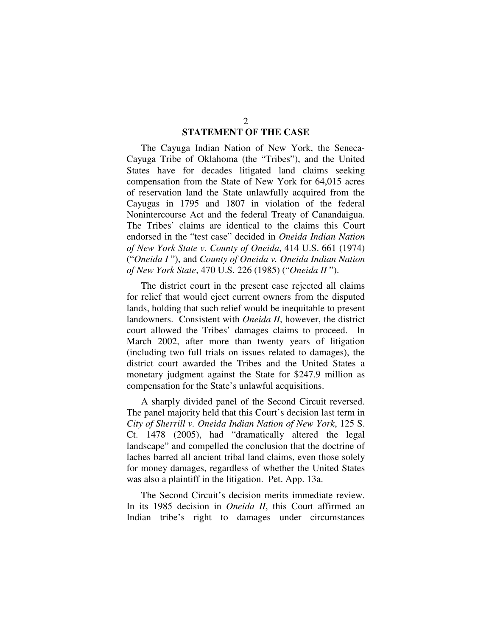## **STATEMENT OF THE CASE**

The Cayuga Indian Nation of New York, the Seneca-Cayuga Tribe of Oklahoma (the "Tribes"), and the United States have for decades litigated land claims seeking compensation from the State of New York for 64,015 acres of reservation land the State unlawfully acquired from the Cayugas in 1795 and 1807 in violation of the federal Nonintercourse Act and the federal Treaty of Canandaigua. The Tribes' claims are identical to the claims this Court endorsed in the "test case" decided in *Oneida Indian Nation of New York State v. County of Oneida*, 414 U.S. 661 (1974) ("*Oneida I* "), and *County of Oneida v. Oneida Indian Nation of New York State*, 470 U.S. 226 (1985) ("*Oneida II* ").

The district court in the present case rejected all claims for relief that would eject current owners from the disputed lands, holding that such relief would be inequitable to present landowners. Consistent with *Oneida II*, however, the district court allowed the Tribes' damages claims to proceed. In March 2002, after more than twenty years of litigation (including two full trials on issues related to damages), the district court awarded the Tribes and the United States a monetary judgment against the State for \$247.9 million as compensation for the State's unlawful acquisitions.

A sharply divided panel of the Second Circuit reversed. The panel majority held that this Court's decision last term in *City of Sherrill v. Oneida Indian Nation of New York*, 125 S. Ct. 1478 (2005), had "dramatically altered the legal landscape" and compelled the conclusion that the doctrine of laches barred all ancient tribal land claims, even those solely for money damages, regardless of whether the United States was also a plaintiff in the litigation. Pet. App. 13a.

The Second Circuit's decision merits immediate review. In its 1985 decision in *Oneida II*, this Court affirmed an Indian tribe's right to damages under circumstances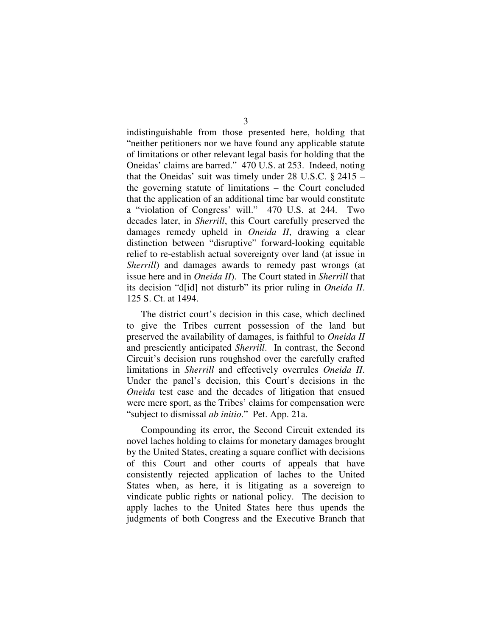indistinguishable from those presented here, holding that "neither petitioners nor we have found any applicable statute of limitations or other relevant legal basis for holding that the Oneidas' claims are barred." 470 U.S. at 253. Indeed, noting that the Oneidas' suit was timely under 28 U.S.C. § 2415 – the governing statute of limitations – the Court concluded that the application of an additional time bar would constitute a "violation of Congress' will." 470 U.S. at 244. Two decades later, in *Sherrill*, this Court carefully preserved the damages remedy upheld in *Oneida II*, drawing a clear distinction between "disruptive" forward-looking equitable relief to re-establish actual sovereignty over land (at issue in *Sherrill*) and damages awards to remedy past wrongs (at issue here and in *Oneida II*). The Court stated in *Sherrill* that its decision "d[id] not disturb" its prior ruling in *Oneida II*. 125 S. Ct. at 1494.

The district court's decision in this case, which declined to give the Tribes current possession of the land but preserved the availability of damages, is faithful to *Oneida II* and presciently anticipated *Sherrill*. In contrast, the Second Circuit's decision runs roughshod over the carefully crafted limitations in *Sherrill* and effectively overrules *Oneida II*. Under the panel's decision, this Court's decisions in the *Oneida* test case and the decades of litigation that ensued were mere sport, as the Tribes' claims for compensation were "subject to dismissal *ab initio*." Pet. App. 21a.

Compounding its error, the Second Circuit extended its novel laches holding to claims for monetary damages brought by the United States, creating a square conflict with decisions of this Court and other courts of appeals that have consistently rejected application of laches to the United States when, as here, it is litigating as a sovereign to vindicate public rights or national policy. The decision to apply laches to the United States here thus upends the judgments of both Congress and the Executive Branch that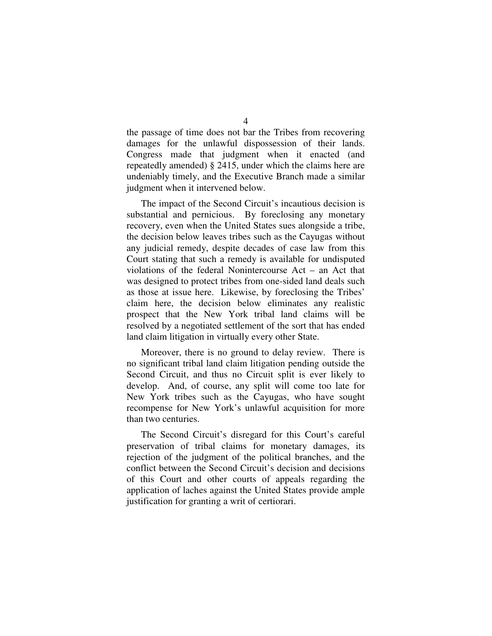the passage of time does not bar the Tribes from recovering damages for the unlawful dispossession of their lands. Congress made that judgment when it enacted (and repeatedly amended) § 2415, under which the claims here are undeniably timely, and the Executive Branch made a similar judgment when it intervened below.

The impact of the Second Circuit's incautious decision is substantial and pernicious. By foreclosing any monetary recovery, even when the United States sues alongside a tribe, the decision below leaves tribes such as the Cayugas without any judicial remedy, despite decades of case law from this Court stating that such a remedy is available for undisputed violations of the federal Nonintercourse Act – an Act that was designed to protect tribes from one-sided land deals such as those at issue here. Likewise, by foreclosing the Tribes' claim here, the decision below eliminates any realistic prospect that the New York tribal land claims will be resolved by a negotiated settlement of the sort that has ended land claim litigation in virtually every other State.

Moreover, there is no ground to delay review. There is no significant tribal land claim litigation pending outside the Second Circuit, and thus no Circuit split is ever likely to develop. And, of course, any split will come too late for New York tribes such as the Cayugas, who have sought recompense for New York's unlawful acquisition for more than two centuries.

The Second Circuit's disregard for this Court's careful preservation of tribal claims for monetary damages, its rejection of the judgment of the political branches, and the conflict between the Second Circuit's decision and decisions of this Court and other courts of appeals regarding the application of laches against the United States provide ample justification for granting a writ of certiorari.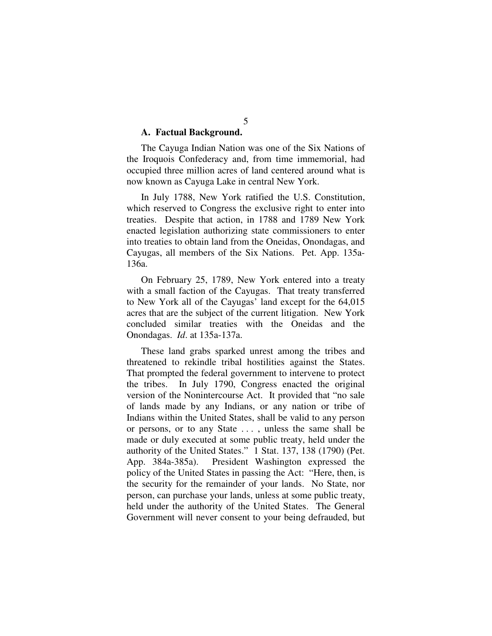## **A. Factual Background.**

The Cayuga Indian Nation was one of the Six Nations of the Iroquois Confederacy and, from time immemorial, had occupied three million acres of land centered around what is now known as Cayuga Lake in central New York.

In July 1788, New York ratified the U.S. Constitution, which reserved to Congress the exclusive right to enter into treaties. Despite that action, in 1788 and 1789 New York enacted legislation authorizing state commissioners to enter into treaties to obtain land from the Oneidas, Onondagas, and Cayugas, all members of the Six Nations. Pet. App. 135a-136a.

On February 25, 1789, New York entered into a treaty with a small faction of the Cayugas. That treaty transferred to New York all of the Cayugas' land except for the 64,015 acres that are the subject of the current litigation. New York concluded similar treaties with the Oneidas and the Onondagas. *Id*. at 135a-137a.

These land grabs sparked unrest among the tribes and threatened to rekindle tribal hostilities against the States. That prompted the federal government to intervene to protect the tribes. In July 1790, Congress enacted the original version of the Nonintercourse Act. It provided that "no sale of lands made by any Indians, or any nation or tribe of Indians within the United States, shall be valid to any person or persons, or to any State . . . , unless the same shall be made or duly executed at some public treaty, held under the authority of the United States." 1 Stat. 137, 138 (1790) (Pet. App. 384a-385a). President Washington expressed the policy of the United States in passing the Act: "Here, then, is the security for the remainder of your lands. No State, nor person, can purchase your lands, unless at some public treaty, held under the authority of the United States. The General Government will never consent to your being defrauded, but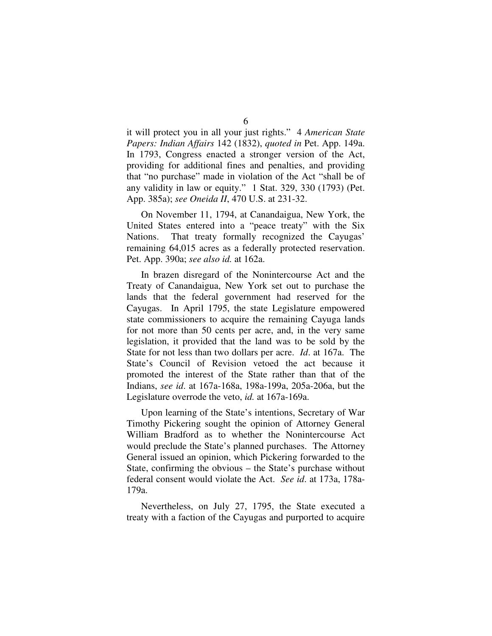it will protect you in all your just rights." 4 *American State Papers: Indian Affairs* 142 (1832), *quoted in* Pet. App. 149a. In 1793, Congress enacted a stronger version of the Act, providing for additional fines and penalties, and providing that "no purchase" made in violation of the Act "shall be of any validity in law or equity." 1 Stat. 329, 330 (1793) (Pet. App. 385a); *see Oneida II*, 470 U.S. at 231-32.

On November 11, 1794, at Canandaigua, New York, the United States entered into a "peace treaty" with the Six Nations. That treaty formally recognized the Cayugas' remaining 64,015 acres as a federally protected reservation. Pet. App. 390a; *see also id.* at 162a.

In brazen disregard of the Nonintercourse Act and the Treaty of Canandaigua, New York set out to purchase the lands that the federal government had reserved for the Cayugas. In April 1795, the state Legislature empowered state commissioners to acquire the remaining Cayuga lands for not more than 50 cents per acre, and, in the very same legislation, it provided that the land was to be sold by the State for not less than two dollars per acre. *Id*. at 167a. The State's Council of Revision vetoed the act because it promoted the interest of the State rather than that of the Indians, *see id*. at 167a-168a, 198a-199a, 205a-206a, but the Legislature overrode the veto, *id.* at 167a-169a.

Upon learning of the State's intentions, Secretary of War Timothy Pickering sought the opinion of Attorney General William Bradford as to whether the Nonintercourse Act would preclude the State's planned purchases. The Attorney General issued an opinion, which Pickering forwarded to the State, confirming the obvious – the State's purchase without federal consent would violate the Act. *See id*. at 173a, 178a-179a.

Nevertheless, on July 27, 1795, the State executed a treaty with a faction of the Cayugas and purported to acquire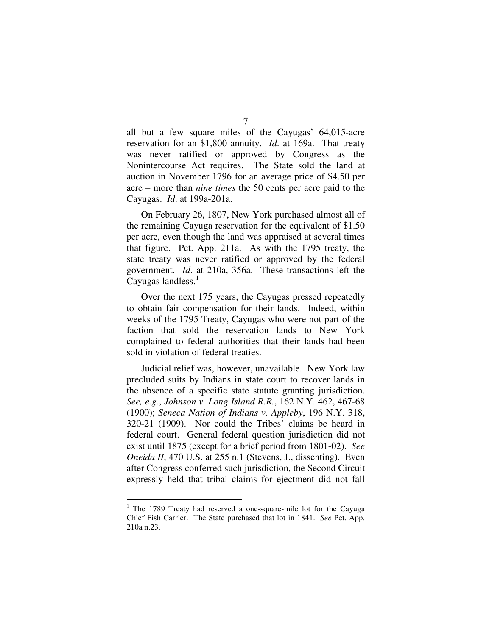all but a few square miles of the Cayugas' 64,015-acre reservation for an \$1,800 annuity. *Id*. at 169a. That treaty was never ratified or approved by Congress as the Nonintercourse Act requires. The State sold the land at auction in November 1796 for an average price of \$4.50 per acre – more than *nine times* the 50 cents per acre paid to the Cayugas. *Id*. at 199a-201a.

On February 26, 1807, New York purchased almost all of the remaining Cayuga reservation for the equivalent of \$1.50 per acre, even though the land was appraised at several times that figure. Pet. App. 211a. As with the 1795 treaty, the state treaty was never ratified or approved by the federal government. *Id*. at 210a, 356a. These transactions left the Cayugas landless.<sup>1</sup>

Over the next 175 years, the Cayugas pressed repeatedly to obtain fair compensation for their lands. Indeed, within weeks of the 1795 Treaty, Cayugas who were not part of the faction that sold the reservation lands to New York complained to federal authorities that their lands had been sold in violation of federal treaties.

Judicial relief was, however, unavailable. New York law precluded suits by Indians in state court to recover lands in the absence of a specific state statute granting jurisdiction. *See, e.g.*, *Johnson v. Long Island R.R.*, 162 N.Y. 462, 467-68 (1900); *Seneca Nation of Indians v. Appleby*, 196 N.Y. 318, 320-21 (1909). Nor could the Tribes' claims be heard in federal court. General federal question jurisdiction did not exist until 1875 (except for a brief period from 1801-02). *See Oneida II*, 470 U.S. at 255 n.1 (Stevens, J., dissenting). Even after Congress conferred such jurisdiction, the Second Circuit expressly held that tribal claims for ejectment did not fall

 $1$  The 1789 Treaty had reserved a one-square-mile lot for the Cayuga Chief Fish Carrier. The State purchased that lot in 1841. *See* Pet. App. 210a n.23.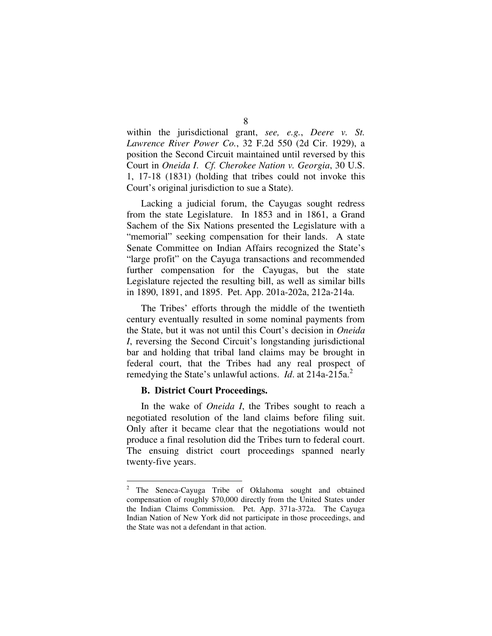within the jurisdictional grant, *see, e.g.*, *Deere v. St. Lawrence River Power Co.*, 32 F.2d 550 (2d Cir. 1929), a position the Second Circuit maintained until reversed by this Court in *Oneida I*. *Cf. Cherokee Nation v. Georgia*, 30 U.S. 1, 17-18 (1831) (holding that tribes could not invoke this Court's original jurisdiction to sue a State).

Lacking a judicial forum, the Cayugas sought redress from the state Legislature. In 1853 and in 1861, a Grand Sachem of the Six Nations presented the Legislature with a "memorial" seeking compensation for their lands. A state Senate Committee on Indian Affairs recognized the State's "large profit" on the Cayuga transactions and recommended further compensation for the Cayugas, but the state Legislature rejected the resulting bill, as well as similar bills in 1890, 1891, and 1895. Pet. App. 201a-202a, 212a-214a.

The Tribes' efforts through the middle of the twentieth century eventually resulted in some nominal payments from the State, but it was not until this Court's decision in *Oneida I*, reversing the Second Circuit's longstanding jurisdictional bar and holding that tribal land claims may be brought in federal court, that the Tribes had any real prospect of remedying the State's unlawful actions. *Id*. at 214a-215a.<sup>2</sup>

#### **B. District Court Proceedings.**

In the wake of *Oneida I*, the Tribes sought to reach a negotiated resolution of the land claims before filing suit. Only after it became clear that the negotiations would not produce a final resolution did the Tribes turn to federal court. The ensuing district court proceedings spanned nearly twenty-five years.

The Seneca-Cayuga Tribe of Oklahoma sought and obtained compensation of roughly \$70,000 directly from the United States under the Indian Claims Commission. Pet. App. 371a-372a. The Cayuga Indian Nation of New York did not participate in those proceedings, and the State was not a defendant in that action.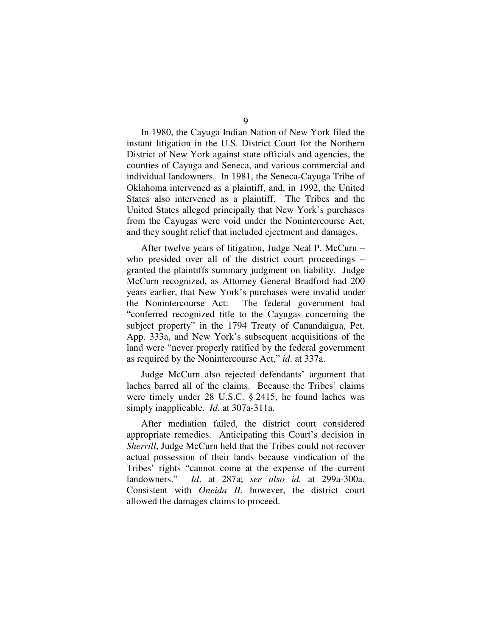In 1980, the Cayuga Indian Nation of New York filed the instant litigation in the U.S. District Court for the Northern District of New York against state officials and agencies, the counties of Cayuga and Seneca, and various commercial and individual landowners. In 1981, the Seneca-Cayuga Tribe of Oklahoma intervened as a plaintiff, and, in 1992, the United States also intervened as a plaintiff. The Tribes and the United States alleged principally that New York's purchases from the Cayugas were void under the Nonintercourse Act, and they sought relief that included ejectment and damages.

After twelve years of litigation, Judge Neal P. McCurn – who presided over all of the district court proceedings – granted the plaintiffs summary judgment on liability. Judge McCurn recognized, as Attorney General Bradford had 200 years earlier, that New York's purchases were invalid under the Nonintercourse Act: The federal government had "conferred recognized title to the Cayugas concerning the subject property" in the 1794 Treaty of Canandaigua, Pet. App. 333a, and New York's subsequent acquisitions of the land were "never properly ratified by the federal government as required by the Nonintercourse Act," *id*. at 337a.

Judge McCurn also rejected defendants' argument that laches barred all of the claims. Because the Tribes' claims were timely under 28 U.S.C. § 2415, he found laches was simply inapplicable. *Id*. at 307a-311a.

After mediation failed, the district court considered appropriate remedies. Anticipating this Court's decision in *Sherrill*, Judge McCurn held that the Tribes could not recover actual possession of their lands because vindication of the Tribes' rights "cannot come at the expense of the current landowners." *Id*. at 287a; *see also id.* at 299a-300a. Consistent with *Oneida II*, however, the district court allowed the damages claims to proceed.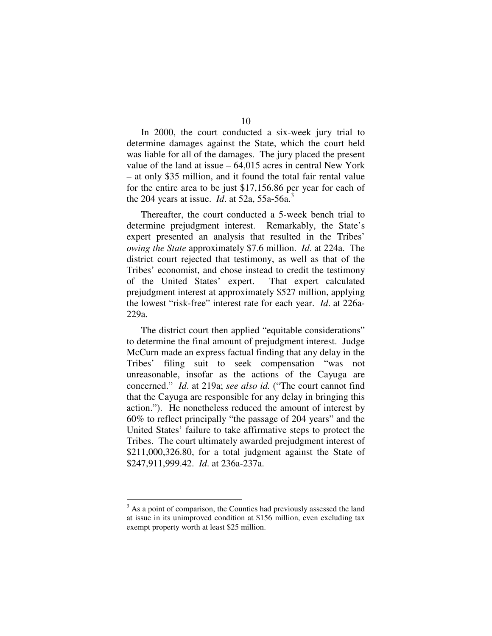In 2000, the court conducted a six-week jury trial to determine damages against the State, which the court held was liable for all of the damages. The jury placed the present value of the land at issue – 64,015 acres in central New York – at only \$35 million, and it found the total fair rental value for the entire area to be just \$17,156.86 per year for each of the 204 years at issue. *Id*. at 52a, 55a-56a. 3

Thereafter, the court conducted a 5-week bench trial to determine prejudgment interest. Remarkably, the State's expert presented an analysis that resulted in the Tribes' *owing the State* approximately \$7.6 million. *Id*. at 224a. The district court rejected that testimony, as well as that of the Tribes' economist, and chose instead to credit the testimony of the United States' expert. That expert calculated prejudgment interest at approximately \$527 million, applying the lowest "risk-free" interest rate for each year. *Id*. at 226a-229a.

The district court then applied "equitable considerations" to determine the final amount of prejudgment interest. Judge McCurn made an express factual finding that any delay in the Tribes' filing suit to seek compensation "was not unreasonable, insofar as the actions of the Cayuga are concerned." *Id*. at 219a; *see also id.* ("The court cannot find that the Cayuga are responsible for any delay in bringing this action."). He nonetheless reduced the amount of interest by 60% to reflect principally "the passage of 204 years" and the United States' failure to take affirmative steps to protect the Tribes. The court ultimately awarded prejudgment interest of \$211,000,326.80, for a total judgment against the State of \$247,911,999.42. *Id*. at 236a-237a.

 $3$  As a point of comparison, the Counties had previously assessed the land at issue in its unimproved condition at \$156 million, even excluding tax exempt property worth at least \$25 million.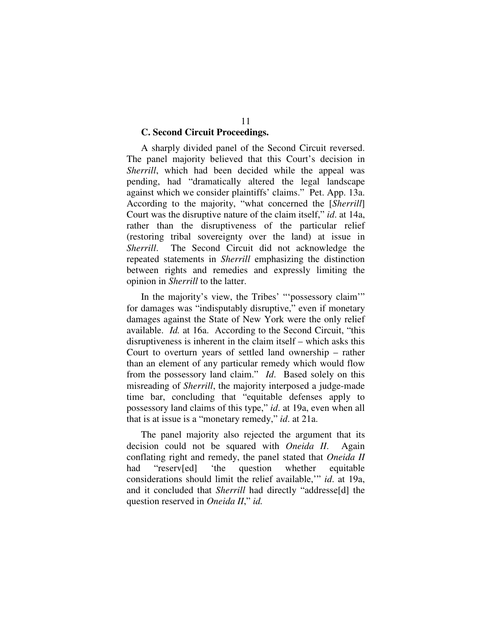## **C. Second Circuit Proceedings.**

A sharply divided panel of the Second Circuit reversed. The panel majority believed that this Court's decision in *Sherrill*, which had been decided while the appeal was pending, had "dramatically altered the legal landscape against which we consider plaintiffs' claims." Pet. App. 13a. According to the majority, "what concerned the [*Sherrill*] Court was the disruptive nature of the claim itself," *id*. at 14a, rather than the disruptiveness of the particular relief (restoring tribal sovereignty over the land) at issue in *Sherrill*. The Second Circuit did not acknowledge the repeated statements in *Sherrill* emphasizing the distinction between rights and remedies and expressly limiting the opinion in *Sherrill* to the latter.

In the majority's view, the Tribes' "'possessory claim'" for damages was "indisputably disruptive," even if monetary damages against the State of New York were the only relief available. *Id.* at 16a. According to the Second Circuit, "this disruptiveness is inherent in the claim itself – which asks this Court to overturn years of settled land ownership – rather than an element of any particular remedy which would flow from the possessory land claim." *Id*. Based solely on this misreading of *Sherrill*, the majority interposed a judge-made time bar, concluding that "equitable defenses apply to possessory land claims of this type," *id*. at 19a, even when all that is at issue is a "monetary remedy," *id*. at 21a.

The panel majority also rejected the argument that its decision could not be squared with *Oneida II*. Again conflating right and remedy, the panel stated that *Oneida II* had "reserv[ed] 'the question whether equitable considerations should limit the relief available,'" *id*. at 19a, and it concluded that *Sherrill* had directly "addresse[d] the question reserved in *Oneida II*," *id.*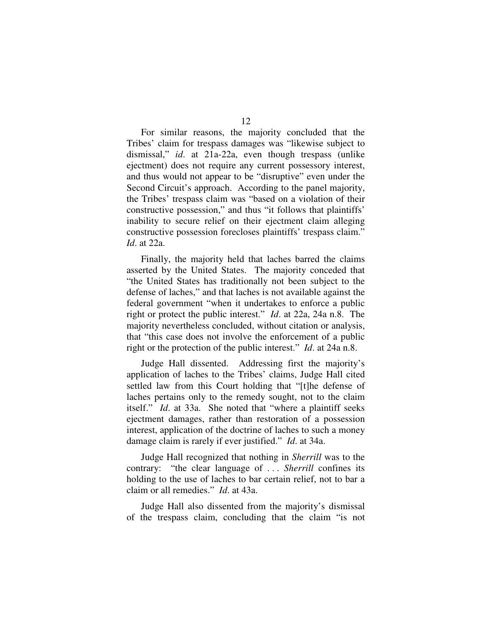For similar reasons, the majority concluded that the Tribes' claim for trespass damages was "likewise subject to dismissal," *id*. at 21a-22a, even though trespass (unlike ejectment) does not require any current possessory interest, and thus would not appear to be "disruptive" even under the Second Circuit's approach. According to the panel majority, the Tribes' trespass claim was "based on a violation of their constructive possession," and thus "it follows that plaintiffs' inability to secure relief on their ejectment claim alleging constructive possession forecloses plaintiffs' trespass claim." *Id*. at 22a.

Finally, the majority held that laches barred the claims asserted by the United States. The majority conceded that "the United States has traditionally not been subject to the defense of laches," and that laches is not available against the federal government "when it undertakes to enforce a public right or protect the public interest." *Id*. at 22a, 24a n.8. The majority nevertheless concluded, without citation or analysis, that "this case does not involve the enforcement of a public right or the protection of the public interest." *Id*. at 24a n.8.

Judge Hall dissented. Addressing first the majority's application of laches to the Tribes' claims, Judge Hall cited settled law from this Court holding that "[t]he defense of laches pertains only to the remedy sought, not to the claim itself." *Id*. at 33a. She noted that "where a plaintiff seeks ejectment damages, rather than restoration of a possession interest, application of the doctrine of laches to such a money damage claim is rarely if ever justified." *Id*. at 34a.

Judge Hall recognized that nothing in *Sherrill* was to the contrary: "the clear language of . . . *Sherrill* confines its holding to the use of laches to bar certain relief, not to bar a claim or all remedies." *Id*. at 43a.

Judge Hall also dissented from the majority's dismissal of the trespass claim, concluding that the claim "is not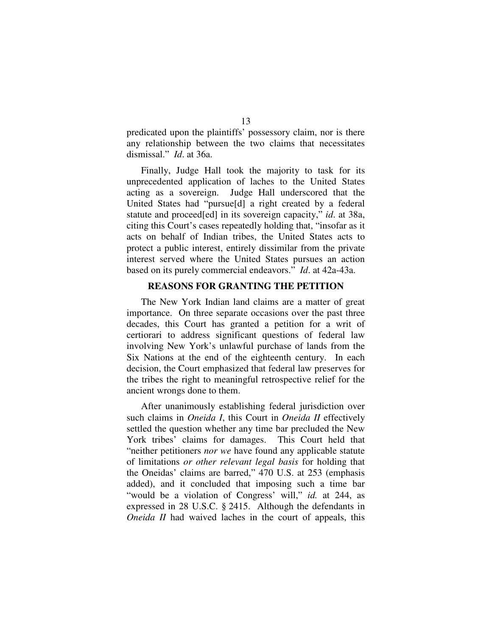predicated upon the plaintiffs' possessory claim, nor is there any relationship between the two claims that necessitates dismissal." *Id*. at 36a.

Finally, Judge Hall took the majority to task for its unprecedented application of laches to the United States acting as a sovereign. Judge Hall underscored that the United States had "pursue[d] a right created by a federal statute and proceed[ed] in its sovereign capacity," *id*. at 38a, citing this Court's cases repeatedly holding that, "insofar as it acts on behalf of Indian tribes, the United States acts to protect a public interest, entirely dissimilar from the private interest served where the United States pursues an action based on its purely commercial endeavors." *Id*. at 42a-43a.

## **REASONS FOR GRANTING THE PETITION**

The New York Indian land claims are a matter of great importance. On three separate occasions over the past three decades, this Court has granted a petition for a writ of certiorari to address significant questions of federal law involving New York's unlawful purchase of lands from the Six Nations at the end of the eighteenth century. In each decision, the Court emphasized that federal law preserves for the tribes the right to meaningful retrospective relief for the ancient wrongs done to them.

After unanimously establishing federal jurisdiction over such claims in *Oneida I*, this Court in *Oneida II* effectively settled the question whether any time bar precluded the New York tribes' claims for damages. This Court held that "neither petitioners *nor we* have found any applicable statute of limitations *or other relevant legal basis* for holding that the Oneidas' claims are barred," 470 U.S. at 253 (emphasis added), and it concluded that imposing such a time bar "would be a violation of Congress' will," *id.* at 244, as expressed in 28 U.S.C. § 2415. Although the defendants in *Oneida II* had waived laches in the court of appeals, this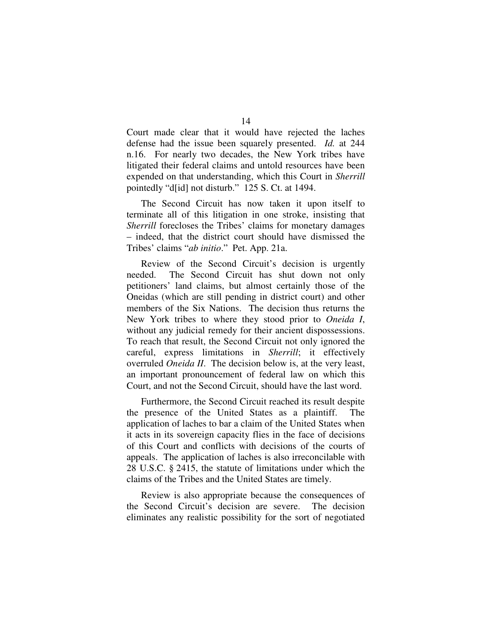Court made clear that it would have rejected the laches defense had the issue been squarely presented. *Id.* at 244 n.16. For nearly two decades, the New York tribes have litigated their federal claims and untold resources have been expended on that understanding, which this Court in *Sherrill* pointedly "d[id] not disturb." 125 S. Ct. at 1494.

The Second Circuit has now taken it upon itself to terminate all of this litigation in one stroke, insisting that *Sherrill* forecloses the Tribes' claims for monetary damages – indeed, that the district court should have dismissed the Tribes' claims "*ab initio*." Pet. App. 21a.

Review of the Second Circuit's decision is urgently needed. The Second Circuit has shut down not only petitioners' land claims, but almost certainly those of the Oneidas (which are still pending in district court) and other members of the Six Nations. The decision thus returns the New York tribes to where they stood prior to *Oneida I*, without any judicial remedy for their ancient dispossessions. To reach that result, the Second Circuit not only ignored the careful, express limitations in *Sherrill*; it effectively overruled *Oneida II*. The decision below is, at the very least, an important pronouncement of federal law on which this Court, and not the Second Circuit, should have the last word.

Furthermore, the Second Circuit reached its result despite the presence of the United States as a plaintiff. The application of laches to bar a claim of the United States when it acts in its sovereign capacity flies in the face of decisions of this Court and conflicts with decisions of the courts of appeals. The application of laches is also irreconcilable with 28 U.S.C. § 2415, the statute of limitations under which the claims of the Tribes and the United States are timely.

Review is also appropriate because the consequences of the Second Circuit's decision are severe. The decision eliminates any realistic possibility for the sort of negotiated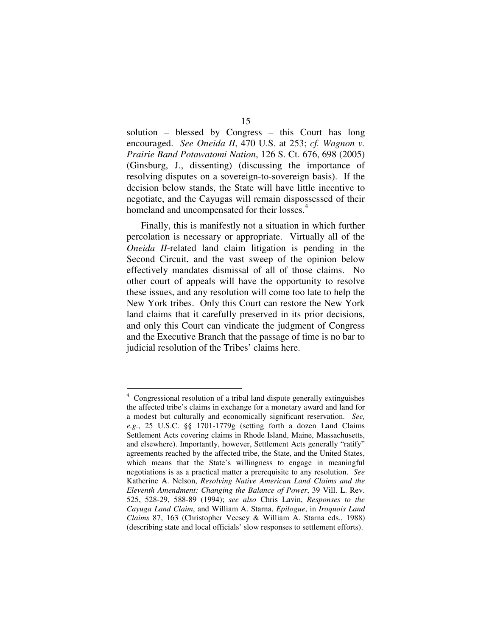solution – blessed by Congress – this Court has long encouraged. *See Oneida II*, 470 U.S. at 253; *cf. Wagnon v. Prairie Band Potawatomi Nation*, 126 S. Ct. 676, 698 (2005) (Ginsburg, J., dissenting) (discussing the importance of resolving disputes on a sovereign-to-sovereign basis). If the decision below stands, the State will have little incentive to negotiate, and the Cayugas will remain dispossessed of their homeland and uncompensated for their losses.<sup>4</sup>

Finally, this is manifestly not a situation in which further percolation is necessary or appropriate. Virtually all of the *Oneida II*-related land claim litigation is pending in the Second Circuit, and the vast sweep of the opinion below effectively mandates dismissal of all of those claims. No other court of appeals will have the opportunity to resolve these issues, and any resolution will come too late to help the New York tribes. Only this Court can restore the New York land claims that it carefully preserved in its prior decisions, and only this Court can vindicate the judgment of Congress and the Executive Branch that the passage of time is no bar to judicial resolution of the Tribes' claims here.

<sup>&</sup>lt;sup>4</sup> Congressional resolution of a tribal land dispute generally extinguishes the affected tribe's claims in exchange for a monetary award and land for a modest but culturally and economically significant reservation. *See, e.g.*, 25 U.S.C. §§ 1701-1779g (setting forth a dozen Land Claims Settlement Acts covering claims in Rhode Island, Maine, Massachusetts, and elsewhere). Importantly, however, Settlement Acts generally "ratify" agreements reached by the affected tribe, the State, and the United States, which means that the State's willingness to engage in meaningful negotiations is as a practical matter a prerequisite to any resolution. *See* Katherine A. Nelson, *Resolving Native American Land Claims and the Eleventh Amendment: Changing the Balance of Power*, 39 Vill. L. Rev. 525, 528-29, 588-89 (1994); *see also* Chris Lavin, *Responses to the Cayuga Land Claim*, and William A. Starna, *Epilogue*, in *Iroquois Land Claims* 87, 163 (Christopher Vecsey & William A. Starna eds., 1988) (describing state and local officials' slow responses to settlement efforts).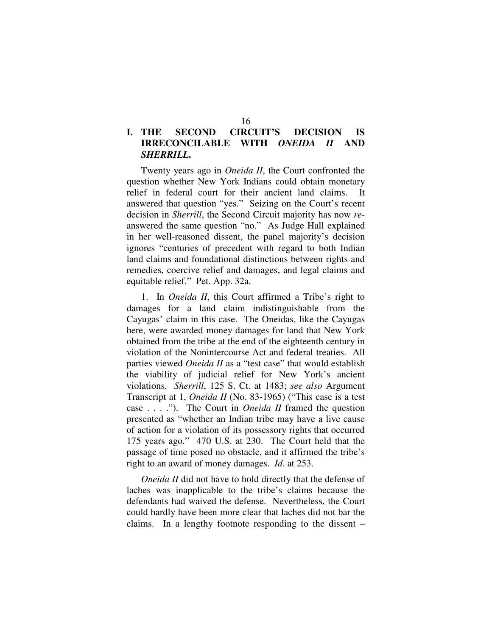# **I. THE SECOND CIRCUIT'S DECISION IS IRRECONCILABLE WITH** *ONEIDA II* **AND** *SHERRILL***.**

Twenty years ago in *Oneida II*, the Court confronted the question whether New York Indians could obtain monetary relief in federal court for their ancient land claims. It answered that question "yes." Seizing on the Court's recent decision in *Sherrill*, the Second Circuit majority has now *re*answered the same question "no." As Judge Hall explained in her well-reasoned dissent, the panel majority's decision ignores "centuries of precedent with regard to both Indian land claims and foundational distinctions between rights and remedies, coercive relief and damages, and legal claims and equitable relief." Pet. App. 32a.

1. In *Oneida II*, this Court affirmed a Tribe's right to damages for a land claim indistinguishable from the Cayugas' claim in this case. The Oneidas, like the Cayugas here, were awarded money damages for land that New York obtained from the tribe at the end of the eighteenth century in violation of the Nonintercourse Act and federal treaties. All parties viewed *Oneida II* as a "test case" that would establish the viability of judicial relief for New York's ancient violations. *Sherrill*, 125 S. Ct. at 1483; *see also* Argument Transcript at 1, *Oneida II* (No. 83-1965) ("This case is a test case . . . ."). The Court in *Oneida II* framed the question presented as "whether an Indian tribe may have a live cause of action for a violation of its possessory rights that occurred 175 years ago." 470 U.S. at 230. The Court held that the passage of time posed no obstacle, and it affirmed the tribe's right to an award of money damages. *Id.* at 253.

*Oneida II* did not have to hold directly that the defense of laches was inapplicable to the tribe's claims because the defendants had waived the defense. Nevertheless, the Court could hardly have been more clear that laches did not bar the claims. In a lengthy footnote responding to the dissent –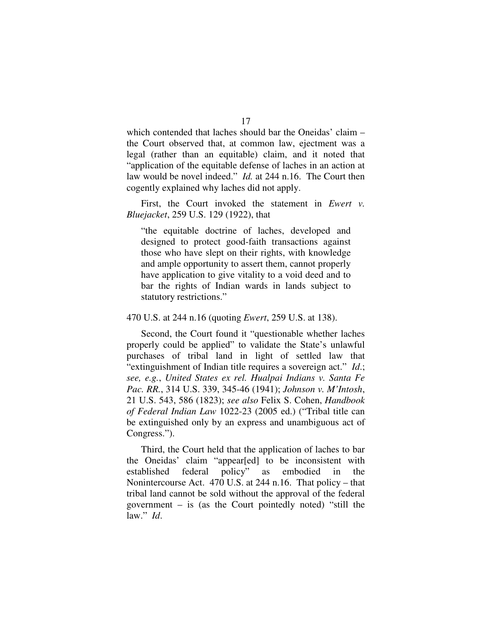which contended that laches should bar the Oneidas' claim – the Court observed that, at common law, ejectment was a legal (rather than an equitable) claim, and it noted that "application of the equitable defense of laches in an action at law would be novel indeed." *Id.* at 244 n.16. The Court then cogently explained why laches did not apply.

First, the Court invoked the statement in *Ewert v. Bluejacket*, 259 U.S. 129 (1922), that

"the equitable doctrine of laches, developed and designed to protect good-faith transactions against those who have slept on their rights, with knowledge and ample opportunity to assert them, cannot properly have application to give vitality to a void deed and to bar the rights of Indian wards in lands subject to statutory restrictions."

## 470 U.S. at 244 n.16 (quoting *Ewert*, 259 U.S. at 138).

Second, the Court found it "questionable whether laches properly could be applied" to validate the State's unlawful purchases of tribal land in light of settled law that "extinguishment of Indian title requires a sovereign act." *Id*.; *see, e.g.*, *United States ex rel. Hualpai Indians v. Santa Fe Pac. RR.*, 314 U.S. 339, 345-46 (1941); *Johnson v. M'Intosh*, 21 U.S. 543, 586 (1823); *see also* Felix S. Cohen, *Handbook of Federal Indian Law* 1022-23 (2005 ed.) ("Tribal title can be extinguished only by an express and unambiguous act of Congress.").

Third, the Court held that the application of laches to bar the Oneidas' claim "appear[ed] to be inconsistent with established federal policy" as embodied in the Nonintercourse Act. 470 U.S. at 244 n.16. That policy – that tribal land cannot be sold without the approval of the federal government – is (as the Court pointedly noted) "still the law." *Id*.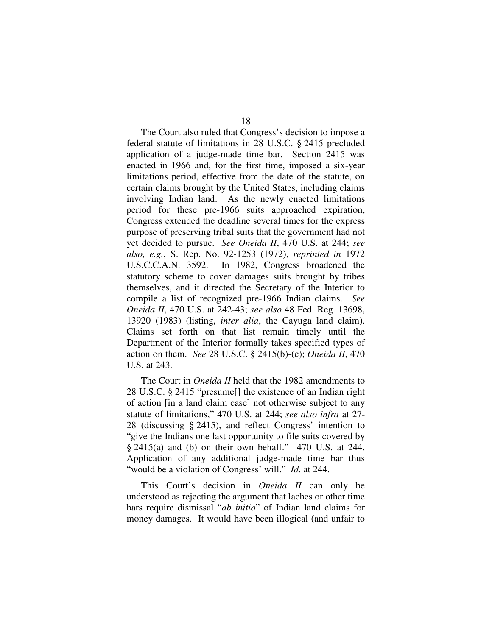The Court also ruled that Congress's decision to impose a federal statute of limitations in 28 U.S.C. § 2415 precluded application of a judge-made time bar. Section 2415 was enacted in 1966 and, for the first time, imposed a six-year limitations period, effective from the date of the statute, on certain claims brought by the United States, including claims involving Indian land. As the newly enacted limitations period for these pre-1966 suits approached expiration, Congress extended the deadline several times for the express purpose of preserving tribal suits that the government had not yet decided to pursue. *See Oneida II*, 470 U.S. at 244; *see also, e.g.*, S. Rep. No. 92-1253 (1972), *reprinted in* 1972 U.S.C.C.A.N. 3592. In 1982, Congress broadened the statutory scheme to cover damages suits brought by tribes themselves, and it directed the Secretary of the Interior to compile a list of recognized pre-1966 Indian claims. *See Oneida II*, 470 U.S. at 242-43; *see also* 48 Fed. Reg. 13698, 13920 (1983) (listing, *inter alia*, the Cayuga land claim). Claims set forth on that list remain timely until the Department of the Interior formally takes specified types of action on them. *See* 28 U.S.C. § 2415(b)-(c); *Oneida II*, 470 U.S. at 243.

The Court in *Oneida II* held that the 1982 amendments to 28 U.S.C. § 2415 "presume[] the existence of an Indian right of action [in a land claim case] not otherwise subject to any statute of limitations," 470 U.S. at 244; *see also infra* at 27- 28 (discussing § 2415), and reflect Congress' intention to "give the Indians one last opportunity to file suits covered by § 2415(a) and (b) on their own behalf." 470 U.S. at 244. Application of any additional judge-made time bar thus "would be a violation of Congress' will." *Id.* at 244.

This Court's decision in *Oneida II* can only be understood as rejecting the argument that laches or other time bars require dismissal "*ab initio*" of Indian land claims for money damages. It would have been illogical (and unfair to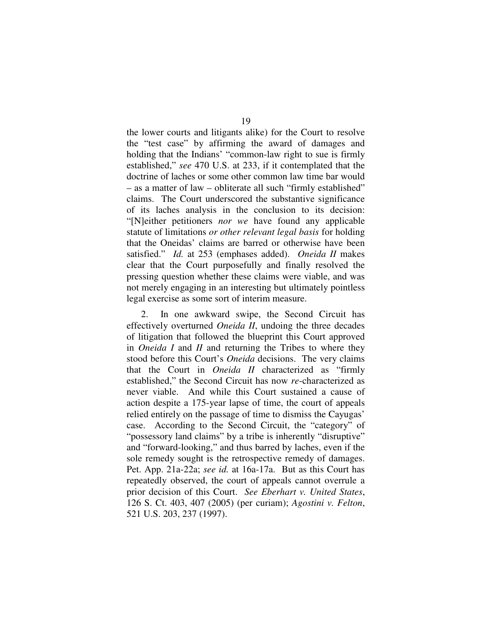the lower courts and litigants alike) for the Court to resolve the "test case" by affirming the award of damages and holding that the Indians' "common-law right to sue is firmly established," *see* 470 U.S. at 233, if it contemplated that the doctrine of laches or some other common law time bar would – as a matter of law – obliterate all such "firmly established" claims. The Court underscored the substantive significance of its laches analysis in the conclusion to its decision: "[N]either petitioners *nor we* have found any applicable statute of limitations *or other relevant legal basis* for holding that the Oneidas' claims are barred or otherwise have been satisfied." *Id.* at 253 (emphases added). *Oneida II* makes clear that the Court purposefully and finally resolved the pressing question whether these claims were viable, and was not merely engaging in an interesting but ultimately pointless legal exercise as some sort of interim measure.

2. In one awkward swipe, the Second Circuit has effectively overturned *Oneida II*, undoing the three decades of litigation that followed the blueprint this Court approved in *Oneida I* and *II* and returning the Tribes to where they stood before this Court's *Oneida* decisions. The very claims that the Court in *Oneida II* characterized as "firmly established," the Second Circuit has now *re*-characterized as never viable. And while this Court sustained a cause of action despite a 175-year lapse of time, the court of appeals relied entirely on the passage of time to dismiss the Cayugas' case. According to the Second Circuit, the "category" of "possessory land claims" by a tribe is inherently "disruptive" and "forward-looking," and thus barred by laches, even if the sole remedy sought is the retrospective remedy of damages. Pet. App. 21a-22a; *see id.* at 16a-17a. But as this Court has repeatedly observed, the court of appeals cannot overrule a prior decision of this Court. *See Eberhart v. United States*, 126 S. Ct. 403, 407 (2005) (per curiam); *Agostini v. Felton*, 521 U.S. 203, 237 (1997).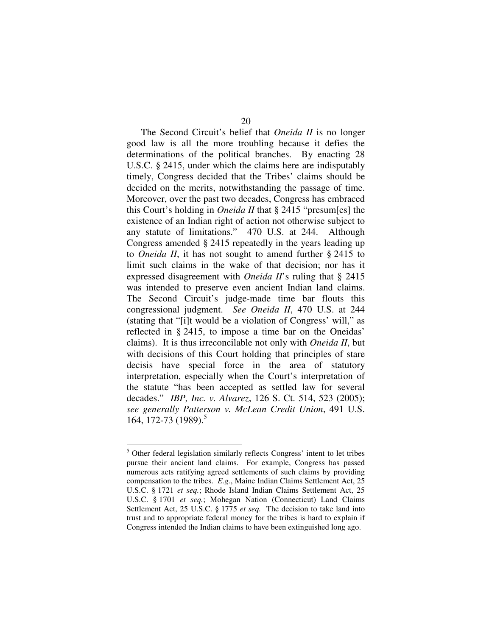The Second Circuit's belief that *Oneida II* is no longer good law is all the more troubling because it defies the determinations of the political branches. By enacting 28 U.S.C. § 2415, under which the claims here are indisputably timely, Congress decided that the Tribes' claims should be decided on the merits, notwithstanding the passage of time. Moreover, over the past two decades, Congress has embraced this Court's holding in *Oneida II* that § 2415 "presum[es] the existence of an Indian right of action not otherwise subject to any statute of limitations." 470 U.S. at 244. Although Congress amended § 2415 repeatedly in the years leading up to *Oneida II*, it has not sought to amend further § 2415 to limit such claims in the wake of that decision; nor has it expressed disagreement with *Oneida II*'s ruling that § 2415 was intended to preserve even ancient Indian land claims. The Second Circuit's judge-made time bar flouts this congressional judgment. *See Oneida II*, 470 U.S. at 244 (stating that "[i]t would be a violation of Congress' will," as reflected in § 2415, to impose a time bar on the Oneidas' claims). It is thus irreconcilable not only with *Oneida II*, but with decisions of this Court holding that principles of stare decisis have special force in the area of statutory interpretation, especially when the Court's interpretation of the statute "has been accepted as settled law for several decades." *IBP, Inc. v. Alvarez*, 126 S. Ct. 514, 523 (2005); *see generally Patterson v. McLean Credit Union*, 491 U.S. 164, 172-73 (1989). 5

<sup>&</sup>lt;sup>5</sup> Other federal legislation similarly reflects Congress' intent to let tribes pursue their ancient land claims. For example, Congress has passed numerous acts ratifying agreed settlements of such claims by providing compensation to the tribes. *E.g.*, Maine Indian Claims Settlement Act, 25 U.S.C. § 1721 *et seq.*; Rhode Island Indian Claims Settlement Act, 25 U.S.C. § 1701 *et seq.*; Mohegan Nation (Connecticut) Land Claims Settlement Act, 25 U.S.C. § 1775 *et seq.* The decision to take land into trust and to appropriate federal money for the tribes is hard to explain if Congress intended the Indian claims to have been extinguished long ago.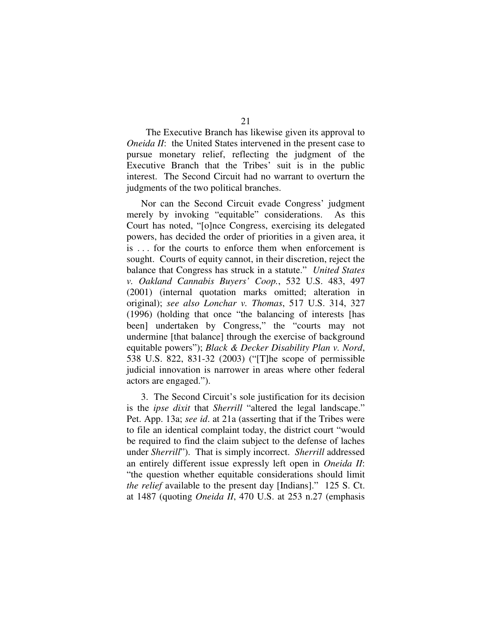The Executive Branch has likewise given its approval to *Oneida II*: the United States intervened in the present case to pursue monetary relief, reflecting the judgment of the Executive Branch that the Tribes' suit is in the public interest. The Second Circuit had no warrant to overturn the judgments of the two political branches.

Nor can the Second Circuit evade Congress' judgment merely by invoking "equitable" considerations. As this Court has noted, "[o]nce Congress, exercising its delegated powers, has decided the order of priorities in a given area, it is . . . for the courts to enforce them when enforcement is sought. Courts of equity cannot, in their discretion, reject the balance that Congress has struck in a statute." *United States v. Oakland Cannabis Buyers' Coop.*, 532 U.S. 483, 497 (2001) (internal quotation marks omitted; alteration in original); *see also Lonchar v. Thomas*, 517 U.S. 314, 327 (1996) (holding that once "the balancing of interests [has been] undertaken by Congress," the "courts may not undermine [that balance] through the exercise of background equitable powers"); *Black & Decker Disability Plan v. Nord*, 538 U.S. 822, 831-32 (2003) ("[T]he scope of permissible judicial innovation is narrower in areas where other federal actors are engaged.").

3. The Second Circuit's sole justification for its decision is the *ipse dixit* that *Sherrill* "altered the legal landscape." Pet. App. 13a; *see id*. at 21a (asserting that if the Tribes were to file an identical complaint today, the district court "would be required to find the claim subject to the defense of laches under *Sherrill*"). That is simply incorrect. *Sherrill* addressed an entirely different issue expressly left open in *Oneida II*: "the question whether equitable considerations should limit *the relief* available to the present day [Indians]." 125 S. Ct. at 1487 (quoting *Oneida II*, 470 U.S. at 253 n.27 (emphasis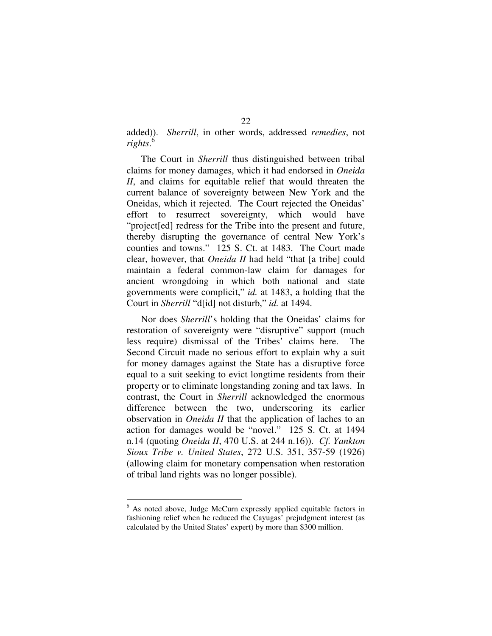added)). *Sherrill*, in other words, addressed *remedies*, not *rights*. 6

The Court in *Sherrill* thus distinguished between tribal claims for money damages, which it had endorsed in *Oneida II*, and claims for equitable relief that would threaten the current balance of sovereignty between New York and the Oneidas, which it rejected. The Court rejected the Oneidas' effort to resurrect sovereignty, which would have "project[ed] redress for the Tribe into the present and future, thereby disrupting the governance of central New York's counties and towns." 125 S. Ct. at 1483. The Court made clear, however, that *Oneida II* had held "that [a tribe] could maintain a federal common-law claim for damages for ancient wrongdoing in which both national and state governments were complicit," *id.* at 1483, a holding that the Court in *Sherrill* "d[id] not disturb," *id.* at 1494.

Nor does *Sherrill*'s holding that the Oneidas' claims for restoration of sovereignty were "disruptive" support (much less require) dismissal of the Tribes' claims here. The Second Circuit made no serious effort to explain why a suit for money damages against the State has a disruptive force equal to a suit seeking to evict longtime residents from their property or to eliminate longstanding zoning and tax laws. In contrast, the Court in *Sherrill* acknowledged the enormous difference between the two, underscoring its earlier observation in *Oneida II* that the application of laches to an action for damages would be "novel." 125 S. Ct. at 1494 n.14 (quoting *Oneida II*, 470 U.S. at 244 n.16)). *Cf. Yankton Sioux Tribe v. United States*, 272 U.S. 351, 357-59 (1926) (allowing claim for monetary compensation when restoration of tribal land rights was no longer possible).

 $6$  As noted above, Judge McCurn expressly applied equitable factors in fashioning relief when he reduced the Cayugas' prejudgment interest (as calculated by the United States' expert) by more than \$300 million.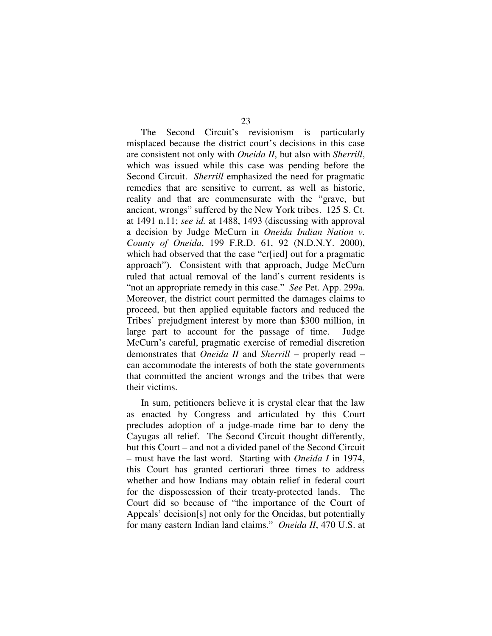The Second Circuit's revisionism is particularly misplaced because the district court's decisions in this case are consistent not only with *Oneida II*, but also with *Sherrill*, which was issued while this case was pending before the Second Circuit. *Sherrill* emphasized the need for pragmatic remedies that are sensitive to current, as well as historic, reality and that are commensurate with the "grave, but ancient, wrongs" suffered by the New York tribes. 125 S. Ct. at 1491 n.11; *see id.* at 1488, 1493 (discussing with approval a decision by Judge McCurn in *Oneida Indian Nation v. County of Oneida*, 199 F.R.D. 61, 92 (N.D.N.Y. 2000), which had observed that the case "cr[ied] out for a pragmatic approach"). Consistent with that approach, Judge McCurn ruled that actual removal of the land's current residents is "not an appropriate remedy in this case." *See* Pet. App. 299a. Moreover, the district court permitted the damages claims to proceed, but then applied equitable factors and reduced the Tribes' prejudgment interest by more than \$300 million, in large part to account for the passage of time. Judge McCurn's careful, pragmatic exercise of remedial discretion demonstrates that *Oneida II* and *Sherrill* – properly read – can accommodate the interests of both the state governments that committed the ancient wrongs and the tribes that were their victims.

In sum, petitioners believe it is crystal clear that the law as enacted by Congress and articulated by this Court precludes adoption of a judge-made time bar to deny the Cayugas all relief. The Second Circuit thought differently, but this Court – and not a divided panel of the Second Circuit – must have the last word. Starting with *Oneida I* in 1974, this Court has granted certiorari three times to address whether and how Indians may obtain relief in federal court for the dispossession of their treaty-protected lands. The Court did so because of "the importance of the Court of Appeals' decision[s] not only for the Oneidas, but potentially for many eastern Indian land claims." *Oneida II*, 470 U.S. at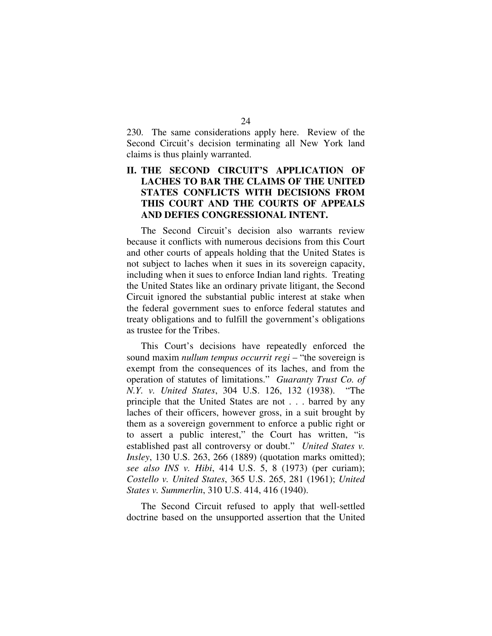230. The same considerations apply here. Review of the Second Circuit's decision terminating all New York land claims is thus plainly warranted.

# **II. THE SECOND CIRCUIT'S APPLICATION OF LACHES TO BAR THE CLAIMS OF THE UNITED STATES CONFLICTS WITH DECISIONS FROM THIS COURT AND THE COURTS OF APPEALS AND DEFIES CONGRESSIONAL INTENT.**

The Second Circuit's decision also warrants review because it conflicts with numerous decisions from this Court and other courts of appeals holding that the United States is not subject to laches when it sues in its sovereign capacity, including when it sues to enforce Indian land rights. Treating the United States like an ordinary private litigant, the Second Circuit ignored the substantial public interest at stake when the federal government sues to enforce federal statutes and treaty obligations and to fulfill the government's obligations as trustee for the Tribes.

This Court's decisions have repeatedly enforced the sound maxim *nullum tempus occurrit regi* – "the sovereign is exempt from the consequences of its laches, and from the operation of statutes of limitations." *Guaranty Trust Co. of N.Y. v. United States*, 304 U.S. 126, 132 (1938). "The principle that the United States are not . . . barred by any laches of their officers, however gross, in a suit brought by them as a sovereign government to enforce a public right or to assert a public interest," the Court has written, "is established past all controversy or doubt." *United States v. Insley*, 130 U.S. 263, 266 (1889) (quotation marks omitted); *see also INS v. Hibi*, 414 U.S. 5, 8 (1973) (per curiam); *Costello v. United States*, 365 U.S. 265, 281 (1961); *United States v. Summerlin*, 310 U.S. 414, 416 (1940).

The Second Circuit refused to apply that well-settled doctrine based on the unsupported assertion that the United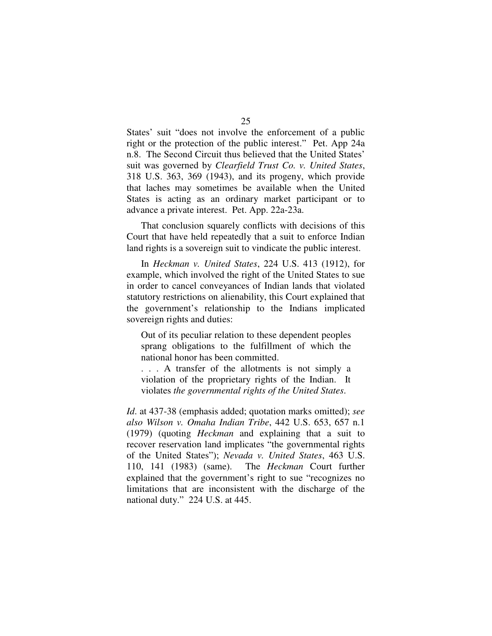States' suit "does not involve the enforcement of a public right or the protection of the public interest." Pet. App 24a n.8. The Second Circuit thus believed that the United States' suit was governed by *Clearfield Trust Co. v. United States*, 318 U.S. 363, 369 (1943), and its progeny, which provide that laches may sometimes be available when the United States is acting as an ordinary market participant or to advance a private interest. Pet. App. 22a-23a.

That conclusion squarely conflicts with decisions of this Court that have held repeatedly that a suit to enforce Indian land rights is a sovereign suit to vindicate the public interest.

In *Heckman v. United States*, 224 U.S. 413 (1912), for example, which involved the right of the United States to sue in order to cancel conveyances of Indian lands that violated statutory restrictions on alienability, this Court explained that the government's relationship to the Indians implicated sovereign rights and duties:

Out of its peculiar relation to these dependent peoples sprang obligations to the fulfillment of which the national honor has been committed.

. . . A transfer of the allotments is not simply a violation of the proprietary rights of the Indian. It violates *the governmental rights of the United States*.

*Id*. at 437-38 (emphasis added; quotation marks omitted); *see also Wilson v. Omaha Indian Tribe*, 442 U.S. 653, 657 n.1 (1979) (quoting *Heckman* and explaining that a suit to recover reservation land implicates "the governmental rights of the United States"); *Nevada v. United States*, 463 U.S. 110, 141 (1983) (same). The *Heckman* Court further explained that the government's right to sue "recognizes no limitations that are inconsistent with the discharge of the national duty." 224 U.S. at 445.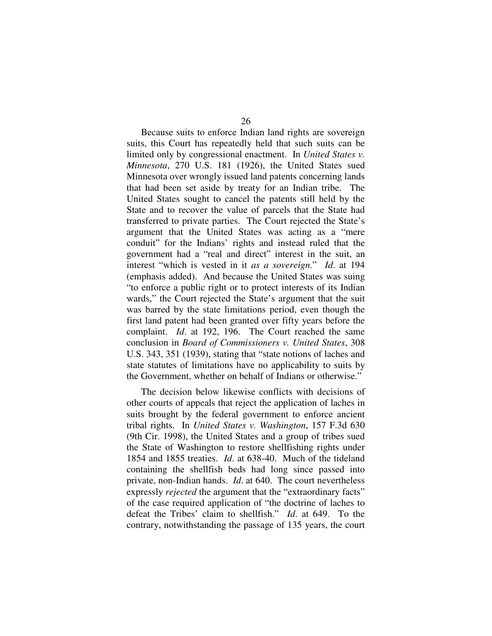Because suits to enforce Indian land rights are sovereign suits, this Court has repeatedly held that such suits can be limited only by congressional enactment. In *United States v. Minnesota*, 270 U.S. 181 (1926), the United States sued Minnesota over wrongly issued land patents concerning lands that had been set aside by treaty for an Indian tribe. The United States sought to cancel the patents still held by the State and to recover the value of parcels that the State had transferred to private parties. The Court rejected the State's argument that the United States was acting as a "mere conduit" for the Indians' rights and instead ruled that the government had a "real and direct" interest in the suit, an interest "which is vested in it *as a sovereign*." *Id*. at 194 (emphasis added). And because the United States was suing "to enforce a public right or to protect interests of its Indian wards," the Court rejected the State's argument that the suit was barred by the state limitations period, even though the first land patent had been granted over fifty years before the complaint. *Id*. at 192, 196. The Court reached the same conclusion in *Board of Commissioners v. United States*, 308 U.S. 343, 351 (1939), stating that "state notions of laches and state statutes of limitations have no applicability to suits by the Government, whether on behalf of Indians or otherwise."

The decision below likewise conflicts with decisions of other courts of appeals that reject the application of laches in suits brought by the federal government to enforce ancient tribal rights. In *United States v. Washington*, 157 F.3d 630 (9th Cir. 1998), the United States and a group of tribes sued the State of Washington to restore shellfishing rights under 1854 and 1855 treaties. *Id*. at 638-40. Much of the tideland containing the shellfish beds had long since passed into private, non-Indian hands. *Id*. at 640. The court nevertheless expressly *rejected* the argument that the "extraordinary facts" of the case required application of "the doctrine of laches to defeat the Tribes' claim to shellfish." *Id*. at 649. To the contrary, notwithstanding the passage of 135 years, the court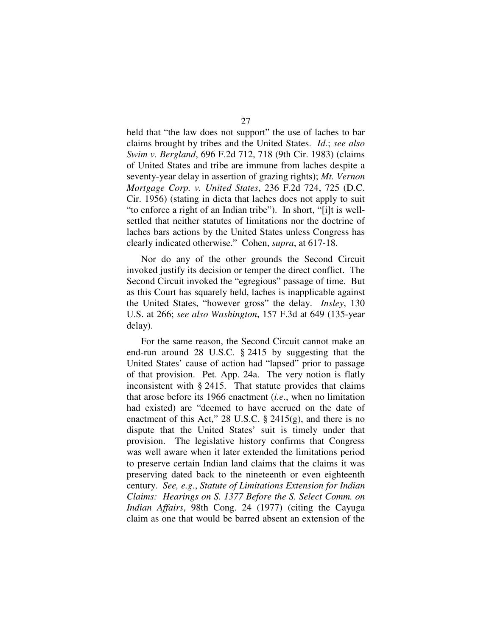held that "the law does not support" the use of laches to bar claims brought by tribes and the United States. *Id*.; *see also Swim v. Bergland*, 696 F.2d 712, 718 (9th Cir. 1983) (claims of United States and tribe are immune from laches despite a seventy-year delay in assertion of grazing rights); *Mt. Vernon Mortgage Corp. v. United States*, 236 F.2d 724, 725 (D.C. Cir. 1956) (stating in dicta that laches does not apply to suit "to enforce a right of an Indian tribe"). In short, "[i]t is wellsettled that neither statutes of limitations nor the doctrine of laches bars actions by the United States unless Congress has clearly indicated otherwise." Cohen, *supra*, at 617-18.

Nor do any of the other grounds the Second Circuit invoked justify its decision or temper the direct conflict. The Second Circuit invoked the "egregious" passage of time. But as this Court has squarely held, laches is inapplicable against the United States, "however gross" the delay. *Insley*, 130 U.S. at 266; *see also Washington*, 157 F.3d at 649 (135-year delay).

For the same reason, the Second Circuit cannot make an end-run around 28 U.S.C. § 2415 by suggesting that the United States' cause of action had "lapsed" prior to passage of that provision. Pet. App. 24a. The very notion is flatly inconsistent with § 2415. That statute provides that claims that arose before its 1966 enactment (*i.e*., when no limitation had existed) are "deemed to have accrued on the date of enactment of this Act," 28 U.S.C. § 2415(g), and there is no dispute that the United States' suit is timely under that provision. The legislative history confirms that Congress was well aware when it later extended the limitations period to preserve certain Indian land claims that the claims it was preserving dated back to the nineteenth or even eighteenth century. *See, e.g*., *Statute of Limitations Extension for Indian Claims: Hearings on S. 1377 Before the S. Select Comm. on Indian Affairs*, 98th Cong. 24 (1977) (citing the Cayuga claim as one that would be barred absent an extension of the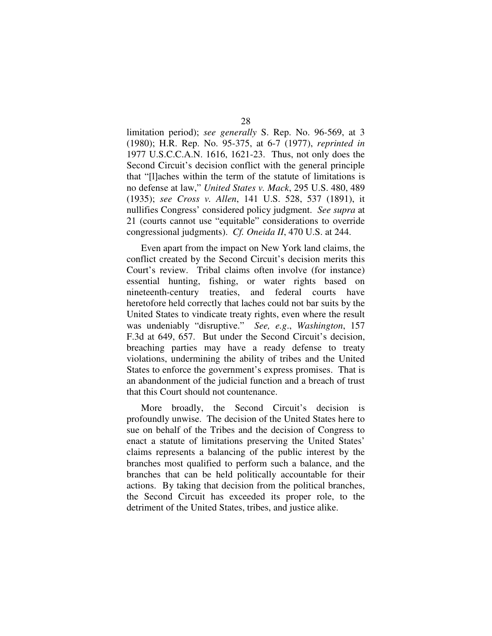limitation period); *see generally* S. Rep. No. 96-569, at 3 (1980); H.R. Rep. No. 95-375, at 6-7 (1977), *reprinted in* 1977 U.S.C.C.A.N. 1616, 1621-23. Thus, not only does the Second Circuit's decision conflict with the general principle that "[l]aches within the term of the statute of limitations is no defense at law," *United States v. Mack*, 295 U.S. 480, 489 (1935); *see Cross v. Allen*, 141 U.S. 528, 537 (1891), it nullifies Congress' considered policy judgment. *See supra* at 21 (courts cannot use "equitable" considerations to override congressional judgments). *Cf. Oneida II*, 470 U.S. at 244.

Even apart from the impact on New York land claims, the conflict created by the Second Circuit's decision merits this Court's review. Tribal claims often involve (for instance) essential hunting, fishing, or water rights based on nineteenth-century treaties, and federal courts have heretofore held correctly that laches could not bar suits by the United States to vindicate treaty rights, even where the result was undeniably "disruptive." *See, e.g*., *Washington*, 157 F.3d at 649, 657. But under the Second Circuit's decision, breaching parties may have a ready defense to treaty violations, undermining the ability of tribes and the United States to enforce the government's express promises. That is an abandonment of the judicial function and a breach of trust that this Court should not countenance.

More broadly, the Second Circuit's decision is profoundly unwise. The decision of the United States here to sue on behalf of the Tribes and the decision of Congress to enact a statute of limitations preserving the United States' claims represents a balancing of the public interest by the branches most qualified to perform such a balance, and the branches that can be held politically accountable for their actions. By taking that decision from the political branches, the Second Circuit has exceeded its proper role, to the detriment of the United States, tribes, and justice alike.